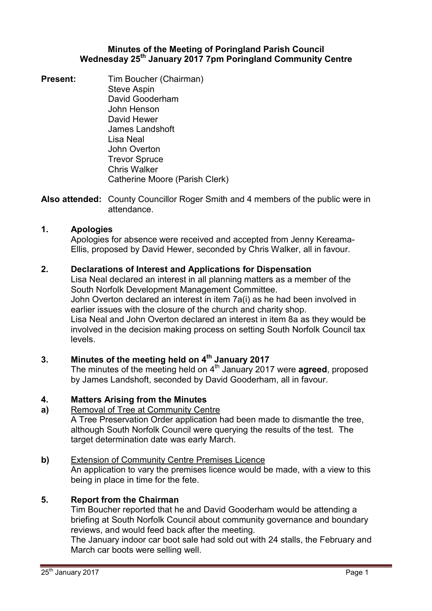### **Minutes of the Meeting of Poringland Parish Council Wednesday 25th January 2017 7pm Poringland Community Centre**

**Present:** Tim Boucher (Chairman) Steve Aspin David Gooderham John Henson David Hewer James Landshoft Lisa Neal John Overton Trevor Spruce Chris Walker Catherine Moore (Parish Clerk)

**Also attended:** County Councillor Roger Smith and 4 members of the public were in attendance.

## **1. Apologies**

Apologies for absence were received and accepted from Jenny Kereama-Ellis, proposed by David Hewer, seconded by Chris Walker, all in favour.

## **2. Declarations of Interest and Applications for Dispensation**

Lisa Neal declared an interest in all planning matters as a member of the South Norfolk Development Management Committee. John Overton declared an interest in item 7a(i) as he had been involved in earlier issues with the closure of the church and charity shop. Lisa Neal and John Overton declared an interest in item 8a as they would be involved in the decision making process on setting South Norfolk Council tax levels.

# **3. Minutes of the meeting held on 4th January 2017**

The minutes of the meeting held on 4<sup>th</sup> January 2017 were **agreed**, proposed by James Landshoft, seconded by David Gooderham, all in favour.

# **4. Matters Arising from the Minutes**

**a)** Removal of Tree at Community Centre

A Tree Preservation Order application had been made to dismantle the tree, although South Norfolk Council were querying the results of the test. The target determination date was early March.

# **b)** Extension of Community Centre Premises Licence

An application to vary the premises licence would be made, with a view to this being in place in time for the fete.

# **5. Report from the Chairman**

Tim Boucher reported that he and David Gooderham would be attending a briefing at South Norfolk Council about community governance and boundary reviews, and would feed back after the meeting.

The January indoor car boot sale had sold out with 24 stalls, the February and March car boots were selling well.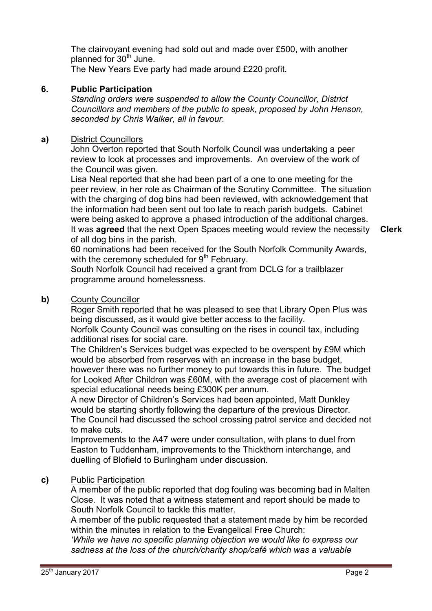The clairvoyant evening had sold out and made over £500, with another planned for 30<sup>th</sup> June.

The New Years Eve party had made around £220 profit.

# **6. Public Participation**

*Standing orders were suspended to allow the County Councillor, District Councillors and members of the public to speak, proposed by John Henson, seconded by Chris Walker, all in favour.* 

# **a)** District Councillors

John Overton reported that South Norfolk Council was undertaking a peer review to look at processes and improvements. An overview of the work of the Council was given.

Lisa Neal reported that she had been part of a one to one meeting for the peer review, in her role as Chairman of the Scrutiny Committee. The situation with the charging of dog bins had been reviewed, with acknowledgement that the information had been sent out too late to reach parish budgets. Cabinet were being asked to approve a phased introduction of the additional charges. It was **agreed** that the next Open Spaces meeting would review the necessity of all dog bins in the parish.

**Clerk**

60 nominations had been received for the South Norfolk Community Awards, with the ceremony scheduled for  $9<sup>th</sup>$  February.

South Norfolk Council had received a grant from DCLG for a trailblazer programme around homelessness.

# **b)** County Councillor

Roger Smith reported that he was pleased to see that Library Open Plus was being discussed, as it would give better access to the facility.

Norfolk County Council was consulting on the rises in council tax, including additional rises for social care.

The Children's Services budget was expected to be overspent by £9M which would be absorbed from reserves with an increase in the base budget, however there was no further money to put towards this in future. The budget

for Looked After Children was £60M, with the average cost of placement with special educational needs being £300K per annum.

A new Director of Children's Services had been appointed, Matt Dunkley would be starting shortly following the departure of the previous Director. The Council had discussed the school crossing patrol service and decided not to make cuts.

Improvements to the A47 were under consultation, with plans to duel from Easton to Tuddenham, improvements to the Thickthorn interchange, and duelling of Blofield to Burlingham under discussion.

# **c)** Public Participation

A member of the public reported that dog fouling was becoming bad in Malten Close. It was noted that a witness statement and report should be made to South Norfolk Council to tackle this matter.

A member of the public requested that a statement made by him be recorded within the minutes in relation to the Evangelical Free Church:

*'While we have no specific planning objection we would like to express our sadness at the loss of the church/charity shop/café which was a valuable*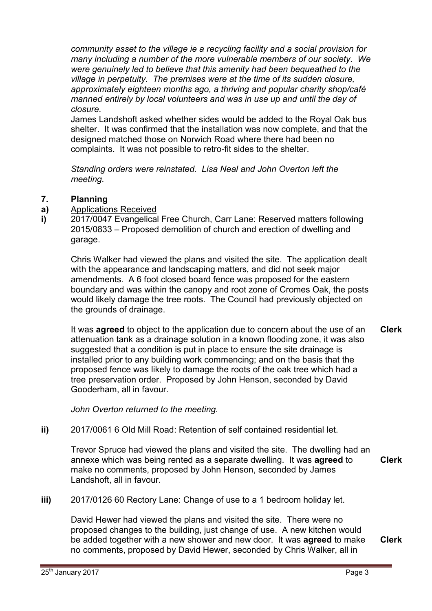*community asset to the village ie a recycling facility and a social provision for many including a number of the more vulnerable members of our society. We were genuinely led to believe that this amenity had been bequeathed to the village in perpetuity. The premises were at the time of its sudden closure, approximately eighteen months ago, a thriving and popular charity shop/café manned entirely by local volunteers and was in use up and until the day of closure.* 

James Landshoft asked whether sides would be added to the Royal Oak bus shelter. It was confirmed that the installation was now complete, and that the designed matched those on Norwich Road where there had been no complaints. It was not possible to retro-fit sides to the shelter.

*Standing orders were reinstated. Lisa Neal and John Overton left the meeting.* 

#### **7. Planning**

- **a)**  Applications Received
- **i)**  2017/0047 Evangelical Free Church, Carr Lane: Reserved matters following 2015/0833 – Proposed demolition of church and erection of dwelling and garage.

Chris Walker had viewed the plans and visited the site. The application dealt with the appearance and landscaping matters, and did not seek major amendments. A 6 foot closed board fence was proposed for the eastern boundary and was within the canopy and root zone of Cromes Oak, the posts would likely damage the tree roots. The Council had previously objected on the grounds of drainage.

It was **agreed** to object to the application due to concern about the use of an attenuation tank as a drainage solution in a known flooding zone, it was also suggested that a condition is put in place to ensure the site drainage is installed prior to any building work commencing; and on the basis that the proposed fence was likely to damage the roots of the oak tree which had a tree preservation order. Proposed by John Henson, seconded by David Gooderham, all in favour. **Clerk**

*John Overton returned to the meeting.* 

**ii)** 2017/0061 6 Old Mill Road: Retention of self contained residential let.

Trevor Spruce had viewed the plans and visited the site. The dwelling had an annexe which was being rented as a separate dwelling. It was **agreed** to make no comments, proposed by John Henson, seconded by James Landshoft, all in favour. **Clerk**

**iii)** 2017/0126 60 Rectory Lane: Change of use to a 1 bedroom holiday let.

David Hewer had viewed the plans and visited the site. There were no proposed changes to the building, just change of use. A new kitchen would be added together with a new shower and new door. It was **agreed** to make no comments, proposed by David Hewer, seconded by Chris Walker, all in **Clerk**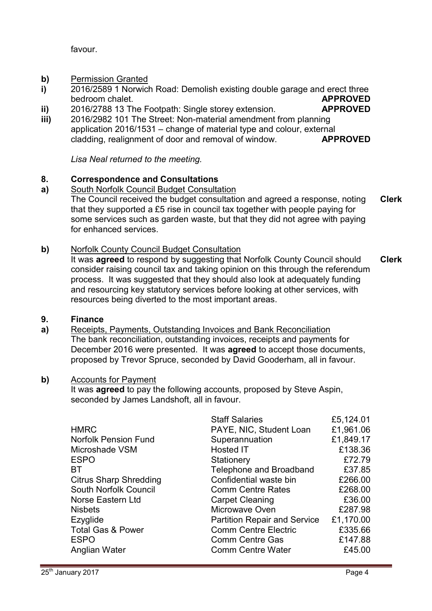favour.

- **b)**  Permission Granted
- **i)**  2016/2589 1 Norwich Road: Demolish existing double garage and erect three bedroom chalet. **APPROVED**
- **ii)**  2016/2788 13 The Footpath: Single storey extension. **APPROVED**
- **iii)**  2016/2982 101 The Street: Non-material amendment from planning application 2016/1531 – change of material type and colour, external cladding, realignment of door and removal of window. **APPROVED**

*Lisa Neal returned to the meeting.* 

#### **8. Correspondence and Consultations**

- **a)**  South Norfolk Council Budget Consultation The Council received the budget consultation and agreed a response, noting that they supported a £5 rise in council tax together with people paying for some services such as garden waste, but that they did not agree with paying for enhanced services. **Clerk**
- **b)** Norfolk County Council Budget Consultation

It was **agreed** to respond by suggesting that Norfolk County Council should consider raising council tax and taking opinion on this through the referendum process. It was suggested that they should also look at adequately funding and resourcing key statutory services before looking at other services, with resources being diverted to the most important areas. **Clerk**

#### **9. Finance**

**a)**  Receipts, Payments, Outstanding Invoices and Bank Reconciliation The bank reconciliation, outstanding invoices, receipts and payments for December 2016 were presented. It was **agreed** to accept those documents, proposed by Trevor Spruce, seconded by David Gooderham, all in favour.

## **b)** Accounts for Payment

It was **agreed** to pay the following accounts, proposed by Steve Aspin, seconded by James Landshoft, all in favour.

|                               | <b>Staff Salaries</b>               | £5,124.01 |
|-------------------------------|-------------------------------------|-----------|
| <b>HMRC</b>                   | PAYE, NIC, Student Loan             | £1,961.06 |
| <b>Norfolk Pension Fund</b>   | Superannuation                      | £1,849.17 |
| Microshade VSM                | Hosted IT                           | £138.36   |
| <b>ESPO</b>                   | Stationery                          | £72.79    |
| BT                            | Telephone and Broadband             | £37.85    |
| <b>Citrus Sharp Shredding</b> | Confidential waste bin              | £266.00   |
| South Norfolk Council         | <b>Comm Centre Rates</b>            | £268.00   |
| Norse Eastern Ltd             | <b>Carpet Cleaning</b>              | £36.00    |
| <b>Nisbets</b>                | Microwave Oven                      | £287.98   |
| Ezyglide                      | <b>Partition Repair and Service</b> | £1,170.00 |
| <b>Total Gas &amp; Power</b>  | <b>Comm Centre Electric</b>         | £335.66   |
| <b>ESPO</b>                   | <b>Comm Centre Gas</b>              | £147.88   |
| Anglian Water                 | <b>Comm Centre Water</b>            | £45.00    |
|                               |                                     |           |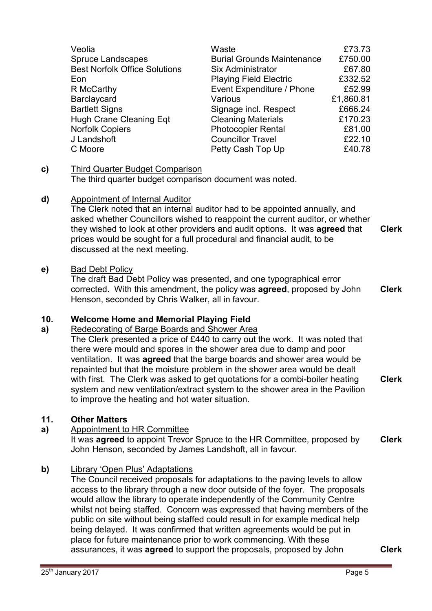| Veolia                               | Waste                             | £73.73    |
|--------------------------------------|-----------------------------------|-----------|
| <b>Spruce Landscapes</b>             | <b>Burial Grounds Maintenance</b> | £750.00   |
| <b>Best Norfolk Office Solutions</b> | Six Administrator                 | £67.80    |
| Eon                                  | <b>Playing Field Electric</b>     | £332.52   |
| R McCarthy                           | Event Expenditure / Phone         | £52.99    |
| Barclaycard                          | Various                           | £1,860.81 |
| <b>Bartlett Signs</b>                | Signage incl. Respect             | £666.24   |
| <b>Hugh Crane Cleaning Eqt</b>       | <b>Cleaning Materials</b>         | £170.23   |
| Norfolk Copiers                      | <b>Photocopier Rental</b>         | £81.00    |
| J Landshoft                          | <b>Councillor Travel</b>          | £22.10    |
| C Moore                              | Petty Cash Top Up                 | £40.78    |

## **c)** Third Quarter Budget Comparison

The third quarter budget comparison document was noted.

### **d)** Appointment of Internal Auditor

The Clerk noted that an internal auditor had to be appointed annually, and asked whether Councillors wished to reappoint the current auditor, or whether they wished to look at other providers and audit options. It was **agreed** that prices would be sought for a full procedural and financial audit, to be discussed at the next meeting. **Clerk**

### **e)** Bad Debt Policy

The draft Bad Debt Policy was presented, and one typographical error corrected. With this amendment, the policy was **agreed**, proposed by John Henson, seconded by Chris Walker, all in favour.

**Clerk**

#### **10. Welcome Home and Memorial Playing Field**

#### **a)**  Redecorating of Barge Boards and Shower Area

The Clerk presented a price of £440 to carry out the work. It was noted that there were mould and spores in the shower area due to damp and poor ventilation. It was **agreed** that the barge boards and shower area would be repainted but that the moisture problem in the shower area would be dealt with first. The Clerk was asked to get quotations for a combi-boiler heating system and new ventilation/extract system to the shower area in the Pavilion to improve the heating and hot water situation. **Clerk**

# **11. Other Matters**

## **a)** Appointment to HR Committee

It was **agreed** to appoint Trevor Spruce to the HR Committee, proposed by John Henson, seconded by James Landshoft, all in favour. **Clerk**

## **b)** Library 'Open Plus' Adaptations

The Council received proposals for adaptations to the paving levels to allow access to the library through a new door outside of the foyer. The proposals would allow the library to operate independently of the Community Centre whilst not being staffed. Concern was expressed that having members of the public on site without being staffed could result in for example medical help being delayed. It was confirmed that written agreements would be put in place for future maintenance prior to work commencing. With these assurances, it was **agreed** to support the proposals, proposed by John **Clerk**